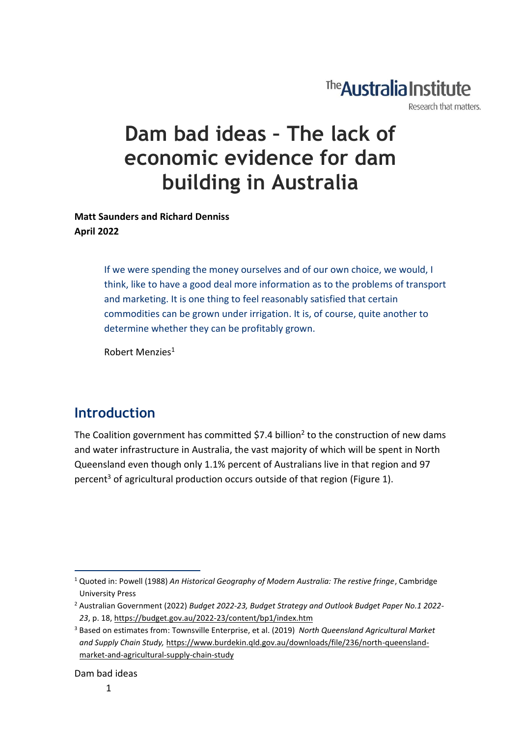# The **Australia Institute**

Research that matters.

# **Dam bad ideas – The lack of economic evidence for dam building in Australia**

**Matt Saunders and Richard Denniss April 2022**

> If we were spending the money ourselves and of our own choice, we would, I think, like to have a good deal more information as to the problems of transport and marketing. It is one thing to feel reasonably satisfied that certain commodities can be grown under irrigation. It is, of course, quite another to determine whether they can be profitably grown.

Robert Menzies<sup>1</sup>

### **Introduction**

The Coalition government has committed \$7.4 billion<sup>2</sup> to the construction of new dams and water infrastructure in Australia, the vast majority of which will be spent in North Queensland even though only 1.1% percent of Australians live in that region and 97 percent<sup>3</sup> of agricultural production occurs outside of that region (Figure 1).

Dam bad ideas

<sup>1</sup> Quoted in: Powell (1988) *An Historical Geography of Modern Australia: The restive fringe*, Cambridge University Press

<sup>2</sup> Australian Government (2022) *Budget 2022-23, Budget Strategy and Outlook Budget Paper No.1 2022- 23*, p. 18[, https://budget.gov.au/2022-23/content/bp1/index.htm](https://budget.gov.au/2022-23/content/bp1/index.htm)

<sup>3</sup> Based on estimates from: Townsville Enterprise, et al. (2019) *North Queensland Agricultural Market and Supply Chain Study,* [https://www.burdekin.qld.gov.au/downloads/file/236/north-queensland](https://www.burdekin.qld.gov.au/downloads/file/236/north-queensland-market-and-agricultural-supply-chain-study)[market-and-agricultural-supply-chain-study](https://www.burdekin.qld.gov.au/downloads/file/236/north-queensland-market-and-agricultural-supply-chain-study)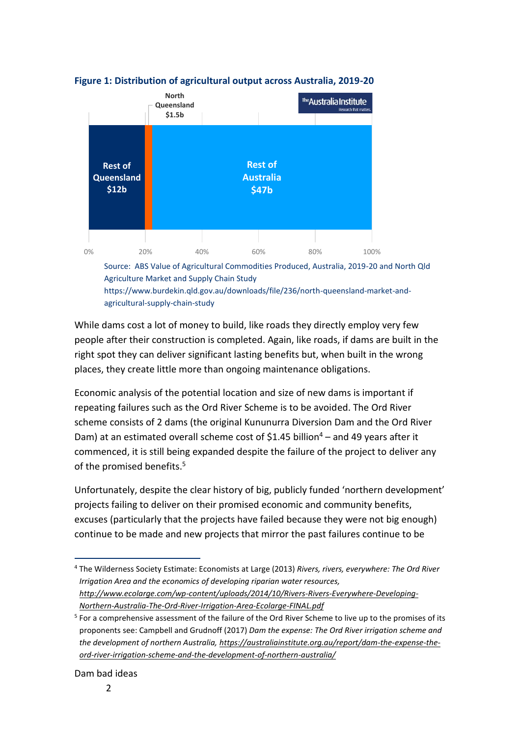

#### **Figure 1: Distribution of agricultural output across Australia, 2019-20**

[agricultural-supply-chain-study](https://www.burdekin.qld.gov.au/downloads/file/236/north-queensland-market-and-agricultural-supply-chain-study)

While dams cost a lot of money to build, like roads they directly employ very few people after their construction is completed. Again, like roads, if dams are built in the right spot they can deliver significant lasting benefits but, when built in the wrong places, they create little more than ongoing maintenance obligations.

Economic analysis of the potential location and size of new dams is important if repeating failures such as the Ord River Scheme is to be avoided. The Ord River scheme consists of 2 dams (the original Kununurra Diversion Dam and the Ord River Dam) at an estimated overall scheme cost of \$1.45 billion<sup>4</sup> – and 49 years after it commenced, it is still being expanded despite the failure of the project to deliver any of the promised benefits. 5

Unfortunately, despite the clear history of big, publicly funded 'northern development' projects failing to deliver on their promised economic and community benefits, excuses (particularly that the projects have failed because they were not big enough) continue to be made and new projects that mirror the past failures continue to be

<sup>4</sup> The Wilderness Society Estimate: Economists at Large (2013) *Rivers, rivers, everywhere: The Ord River Irrigation Area and the economics of developing riparian water resources, [http://www.ecolarge.com/wp-content/uploads/2014/10/Rivers-Rivers-Everywhere-Developing-](http://www.ecolarge.com/wp-content/uploads/2014/10/Rivers-Rivers-Everywhere-Developing-Northern-Australia-The-Ord-River-Irrigation-Area-Ecolarge-FINAL.pdf)[Northern-Australia-The-Ord-River-Irrigation-Area-Ecolarge-FINAL.pdf](http://www.ecolarge.com/wp-content/uploads/2014/10/Rivers-Rivers-Everywhere-Developing-Northern-Australia-The-Ord-River-Irrigation-Area-Ecolarge-FINAL.pdf)*

<sup>&</sup>lt;sup>5</sup> For a comprehensive assessment of the failure of the Ord River Scheme to live up to the promises of its proponents see: Campbell and Grudnoff (2017) *Dam the expense: The Ord River irrigation scheme and the development of northern Australia, [https://australiainstitute.org.au/report/dam-the-expense-the](https://australiainstitute.org.au/report/dam-the-expense-the-ord-river-irrigation-scheme-and-the-development-of-northern-australia/)[ord-river-irrigation-scheme-and-the-development-of-northern-australia/](https://australiainstitute.org.au/report/dam-the-expense-the-ord-river-irrigation-scheme-and-the-development-of-northern-australia/)*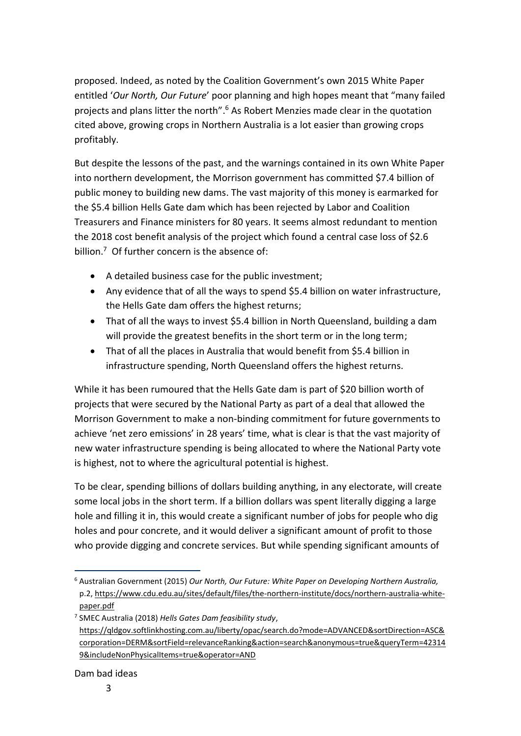proposed. Indeed, as noted by the Coalition Government's own 2015 White Paper entitled '*Our North, Our Future*' poor planning and high hopes meant that "many failed projects and plans litter the north".<sup>6</sup> As Robert Menzies made clear in the quotation cited above, growing crops in Northern Australia is a lot easier than growing crops profitably.

But despite the lessons of the past, and the warnings contained in its own White Paper into northern development, the Morrison government has committed \$7.4 billion of public money to building new dams. The vast majority of this money is earmarked for the \$5.4 billion Hells Gate dam which has been rejected by Labor and Coalition Treasurers and Finance ministers for 80 years. It seems almost redundant to mention the 2018 cost benefit analysis of the project which found a central case loss of \$2.6 billion.<sup>7</sup> Of further concern is the absence of:

- A detailed business case for the public investment;
- Any evidence that of all the ways to spend \$5.4 billion on water infrastructure, the Hells Gate dam offers the highest returns;
- That of all the ways to invest \$5.4 billion in North Queensland, building a dam will provide the greatest benefits in the short term or in the long term;
- That of all the places in Australia that would benefit from \$5.4 billion in infrastructure spending, North Queensland offers the highest returns.

While it has been rumoured that the Hells Gate dam is part of \$20 billion worth of projects that were secured by the National Party as part of a deal that allowed the Morrison Government to make a non-binding commitment for future governments to achieve 'net zero emissions' in 28 years' time, what is clear is that the vast majority of new water infrastructure spending is being allocated to where the National Party vote is highest, not to where the agricultural potential is highest.

To be clear, spending billions of dollars building anything, in any electorate, will create some local jobs in the short term. If a billion dollars was spent literally digging a large hole and filling it in, this would create a significant number of jobs for people who dig holes and pour concrete, and it would deliver a significant amount of profit to those who provide digging and concrete services. But while spending significant amounts of

<sup>6</sup> Australian Government (2015) *Our North, Our Future: White Paper on Developing Northern Australia,*  p.2[, https://www.cdu.edu.au/sites/default/files/the-northern-institute/docs/northern-australia-white](https://www.cdu.edu.au/sites/default/files/the-northern-institute/docs/northern-australia-white-paper.pdf)[paper.pdf](https://www.cdu.edu.au/sites/default/files/the-northern-institute/docs/northern-australia-white-paper.pdf)

<sup>7</sup> SMEC Australia (2018) *Hells Gates Dam feasibility study*, [https://qldgov.softlinkhosting.com.au/liberty/opac/search.do?mode=ADVANCED&sortDirection=ASC&](https://qldgov.softlinkhosting.com.au/liberty/opac/search.do?mode=ADVANCED&sortDirection=ASC&corporation=DERM&sortField=relevanceRanking&action=search&anonymous=true&queryTerm=423149&includeNonPhysicalItems=true&operator=AND) [corporation=DERM&sortField=relevanceRanking&action=search&anonymous=true&queryTerm=42314](https://qldgov.softlinkhosting.com.au/liberty/opac/search.do?mode=ADVANCED&sortDirection=ASC&corporation=DERM&sortField=relevanceRanking&action=search&anonymous=true&queryTerm=423149&includeNonPhysicalItems=true&operator=AND) [9&includeNonPhysicalItems=true&operator=AND](https://qldgov.softlinkhosting.com.au/liberty/opac/search.do?mode=ADVANCED&sortDirection=ASC&corporation=DERM&sortField=relevanceRanking&action=search&anonymous=true&queryTerm=423149&includeNonPhysicalItems=true&operator=AND)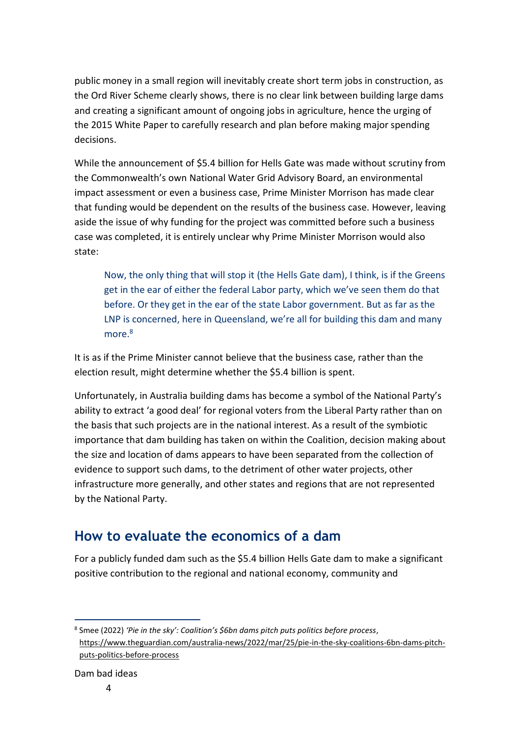public money in a small region will inevitably create short term jobs in construction, as the Ord River Scheme clearly shows, there is no clear link between building large dams and creating a significant amount of ongoing jobs in agriculture, hence the urging of the 2015 White Paper to carefully research and plan before making major spending decisions.

While the announcement of \$5.4 billion for Hells Gate was made without scrutiny from the Commonwealth's own National Water Grid Advisory Board, an environmental impact assessment or even a business case, Prime Minister Morrison has made clear that funding would be dependent on the results of the business case. However, leaving aside the issue of why funding for the project was committed before such a business case was completed, it is entirely unclear why Prime Minister Morrison would also state:

Now, the only thing that will stop it (the Hells Gate dam), I think, is if the Greens get in the ear of either the federal Labor party, which we've seen them do that before. Or they get in the ear of the state Labor government. But as far as the LNP is concerned, here in Queensland, we're all for building this dam and many more.<sup>8</sup>

It is as if the Prime Minister cannot believe that the business case, rather than the election result, might determine whether the \$5.4 billion is spent.

Unfortunately, in Australia building dams has become a symbol of the National Party's ability to extract 'a good deal' for regional voters from the Liberal Party rather than on the basis that such projects are in the national interest. As a result of the symbiotic importance that dam building has taken on within the Coalition, decision making about the size and location of dams appears to have been separated from the collection of evidence to support such dams, to the detriment of other water projects, other infrastructure more generally, and other states and regions that are not represented by the National Party.

### **How to evaluate the economics of a dam**

For a publicly funded dam such as the \$5.4 billion Hells Gate dam to make a significant positive contribution to the regional and national economy, community and

<sup>8</sup> Smee (2022) *'Pie in the sky': Coalition's \$6bn dams pitch puts politics before process*, [https://www.theguardian.com/australia-news/2022/mar/25/pie-in-the-sky-coalitions-6bn-dams-pitch](https://www.theguardian.com/australia-news/2022/mar/25/pie-in-the-sky-coalitions-6bn-dams-pitch-puts-politics-before-process)[puts-politics-before-process](https://www.theguardian.com/australia-news/2022/mar/25/pie-in-the-sky-coalitions-6bn-dams-pitch-puts-politics-before-process)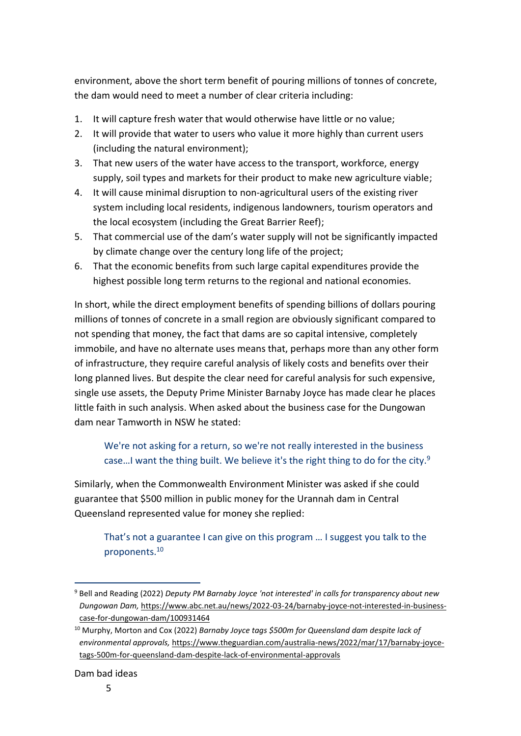environment, above the short term benefit of pouring millions of tonnes of concrete, the dam would need to meet a number of clear criteria including:

- 1. It will capture fresh water that would otherwise have little or no value;
- 2. It will provide that water to users who value it more highly than current users (including the natural environment);
- 3. That new users of the water have access to the transport, workforce, energy supply, soil types and markets for their product to make new agriculture viable;
- 4. It will cause minimal disruption to non-agricultural users of the existing river system including local residents, indigenous landowners, tourism operators and the local ecosystem (including the Great Barrier Reef);
- 5. That commercial use of the dam's water supply will not be significantly impacted by climate change over the century long life of the project;
- 6. That the economic benefits from such large capital expenditures provide the highest possible long term returns to the regional and national economies.

In short, while the direct employment benefits of spending billions of dollars pouring millions of tonnes of concrete in a small region are obviously significant compared to not spending that money, the fact that dams are so capital intensive, completely immobile, and have no alternate uses means that, perhaps more than any other form of infrastructure, they require careful analysis of likely costs and benefits over their long planned lives. But despite the clear need for careful analysis for such expensive, single use assets, the Deputy Prime Minister Barnaby Joyce has made clear he places little faith in such analysis. When asked about the business case for the Dungowan dam near Tamworth in NSW he stated:

We're not asking for a return, so we're not really interested in the business case...I want the thing built. We believe it's the right thing to do for the city.<sup>9</sup>

Similarly, when the Commonwealth Environment Minister was asked if she could guarantee that \$500 million in public money for the Urannah dam in Central Queensland represented value for money she replied:

That's not a guarantee I can give on this program … I suggest you talk to the proponents.<sup>10</sup>

<sup>9</sup> Bell and Reading (2022) *Deputy PM Barnaby Joyce 'not interested' in calls for transparency about new Dungowan Dam,* [https://www.abc.net.au/news/2022-03-24/barnaby-joyce-not-interested-in-business](https://www.abc.net.au/news/2022-03-24/barnaby-joyce-not-interested-in-business-case-for-dungowan-dam/100931464)[case-for-dungowan-dam/100931464](https://www.abc.net.au/news/2022-03-24/barnaby-joyce-not-interested-in-business-case-for-dungowan-dam/100931464)

<sup>10</sup> Murphy, Morton and Cox (2022) *Barnaby Joyce tags \$500m for Queensland dam despite lack of environmental approvals,* [https://www.theguardian.com/australia-news/2022/mar/17/barnaby-joyce](https://www.theguardian.com/australia-news/2022/mar/17/barnaby-joyce-tags-500m-for-queensland-dam-despite-lack-of-environmental-approvals)[tags-500m-for-queensland-dam-despite-lack-of-environmental-approvals](https://www.theguardian.com/australia-news/2022/mar/17/barnaby-joyce-tags-500m-for-queensland-dam-despite-lack-of-environmental-approvals)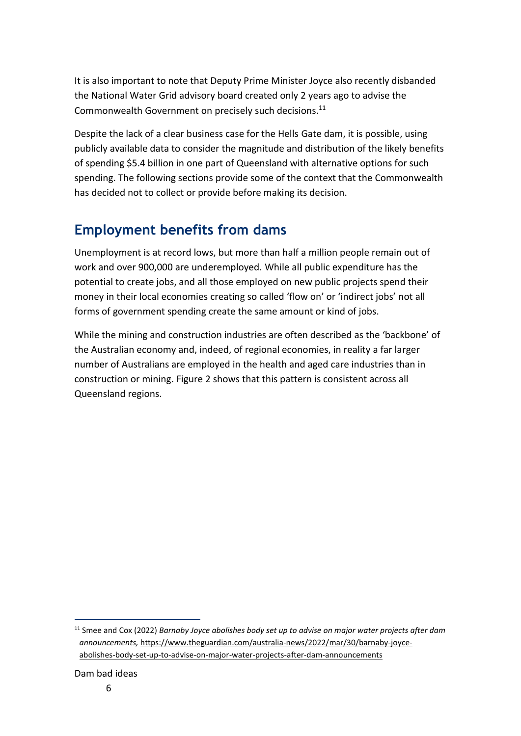It is also important to note that Deputy Prime Minister Joyce also recently disbanded the National Water Grid advisory board created only 2 years ago to advise the Commonwealth Government on precisely such decisions.<sup>11</sup>

Despite the lack of a clear business case for the Hells Gate dam, it is possible, using publicly available data to consider the magnitude and distribution of the likely benefits of spending \$5.4 billion in one part of Queensland with alternative options for such spending. The following sections provide some of the context that the Commonwealth has decided not to collect or provide before making its decision.

### **Employment benefits from dams**

Unemployment is at record lows, but more than half a million people remain out of work and over 900,000 are underemployed. While all public expenditure has the potential to create jobs, and all those employed on new public projects spend their money in their local economies creating so called 'flow on' or 'indirect jobs' not all forms of government spending create the same amount or kind of jobs.

While the mining and construction industries are often described as the 'backbone' of the Australian economy and, indeed, of regional economies, in reality a far larger number of Australians are employed in the health and aged care industries than in construction or mining. Figure 2 shows that this pattern is consistent across all Queensland regions.

<sup>11</sup> Smee and Cox (2022) *Barnaby Joyce abolishes body set up to advise on major water projects after dam announcements,* [https://www.theguardian.com/australia-news/2022/mar/30/barnaby-joyce](https://www.theguardian.com/australia-news/2022/mar/30/barnaby-joyce-abolishes-body-set-up-to-advise-on-major-water-projects-after-dam-announcements)[abolishes-body-set-up-to-advise-on-major-water-projects-after-dam-announcements](https://www.theguardian.com/australia-news/2022/mar/30/barnaby-joyce-abolishes-body-set-up-to-advise-on-major-water-projects-after-dam-announcements)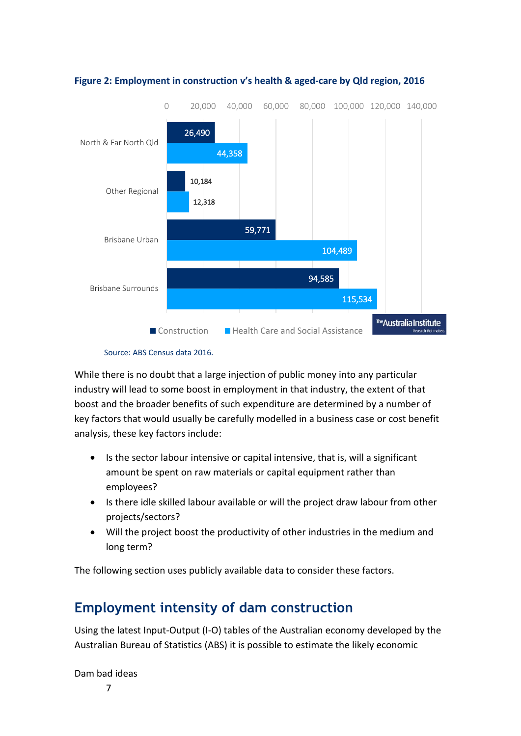

#### **Figure 2: Employment in construction v's health & aged-care by Qld region, 2016**

While there is no doubt that a large injection of public money into any particular industry will lead to some boost in employment in that industry, the extent of that boost and the broader benefits of such expenditure are determined by a number of key factors that would usually be carefully modelled in a business case or cost benefit analysis, these key factors include:

- Is the sector labour intensive or capital intensive, that is, will a significant amount be spent on raw materials or capital equipment rather than employees?
- Is there idle skilled labour available or will the project draw labour from other projects/sectors?
- Will the project boost the productivity of other industries in the medium and long term?

The following section uses publicly available data to consider these factors.

### **Employment intensity of dam construction**

Using the latest Input-Output (I-O) tables of the Australian economy developed by the Australian Bureau of Statistics (ABS) it is possible to estimate the likely economic

Dam bad ideas

7

Source: ABS Census data 2016.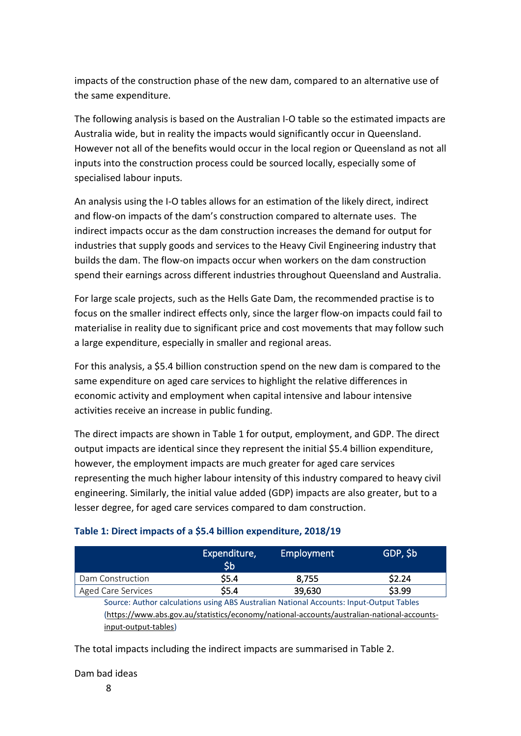impacts of the construction phase of the new dam, compared to an alternative use of the same expenditure.

The following analysis is based on the Australian I-O table so the estimated impacts are Australia wide, but in reality the impacts would significantly occur in Queensland. However not all of the benefits would occur in the local region or Queensland as not all inputs into the construction process could be sourced locally, especially some of specialised labour inputs.

An analysis using the I-O tables allows for an estimation of the likely direct, indirect and flow-on impacts of the dam's construction compared to alternate uses. The indirect impacts occur as the dam construction increases the demand for output for industries that supply goods and services to the Heavy Civil Engineering industry that builds the dam. The flow-on impacts occur when workers on the dam construction spend their earnings across different industries throughout Queensland and Australia.

For large scale projects, such as the Hells Gate Dam, the recommended practise is to focus on the smaller indirect effects only, since the larger flow-on impacts could fail to materialise in reality due to significant price and cost movements that may follow such a large expenditure, especially in smaller and regional areas.

For this analysis, a \$5.4 billion construction spend on the new dam is compared to the same expenditure on aged care services to highlight the relative differences in economic activity and employment when capital intensive and labour intensive activities receive an increase in public funding.

The direct impacts are shown in [Table 1](#page-7-0) for output, employment, and GDP. The direct output impacts are identical since they represent the initial \$5.4 billion expenditure, however, the employment impacts are much greater for aged care services representing the much higher labour intensity of this industry compared to heavy civil engineering. Similarly, the initial value added (GDP) impacts are also greater, but to a lesser degree, for aged care services compared to dam construction.

|                                                                                            | Expenditure,<br>\$b | <b>Employment</b> | GDP, \$b |  |  |
|--------------------------------------------------------------------------------------------|---------------------|-------------------|----------|--|--|
| Dam Construction                                                                           | \$5.4               | 8,755             | \$2.24   |  |  |
| <b>Aged Care Services</b>                                                                  | \$5.4               | 39,630            | \$3.99   |  |  |
| Source: Author calculations using ABS Australian National Accounts: Input-Output Tables    |                     |                   |          |  |  |
| (https://www.abs.gov.au/statistics/economy/national-accounts/australian-national-accounts- |                     |                   |          |  |  |
| input-output-tables)                                                                       |                     |                   |          |  |  |

### <span id="page-7-0"></span>**Table 1: Direct impacts of a \$5.4 billion expenditure, 2018/19**

The total impacts including the indirect impacts are summarised in Table 2.

### Dam bad ideas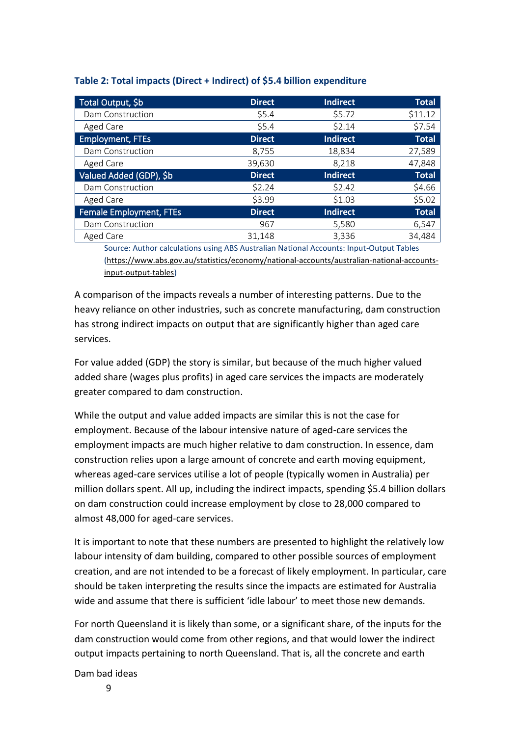| Total Output, \$b              | <b>Direct</b> | <b>Indirect</b> | <b>Total</b> |
|--------------------------------|---------------|-----------------|--------------|
| Dam Construction               | \$5.4\$       | \$5.72          | \$11.12      |
| Aged Care                      | \$5.4         | \$2.14          | \$7.54       |
| <b>Employment, FTEs</b>        | <b>Direct</b> | <b>Indirect</b> | <b>Total</b> |
| Dam Construction               | 8,755         | 18,834          | 27,589       |
| Aged Care                      | 39,630        | 8,218           | 47,848       |
| Valued Added (GDP), \$b        | <b>Direct</b> | <b>Indirect</b> | <b>Total</b> |
| Dam Construction               | \$2.24        | \$2.42          | \$4.66       |
| Aged Care                      | \$3.99        | \$1.03          | \$5.02       |
| <b>Female Employment, FTEs</b> | <b>Direct</b> | <b>Indirect</b> | <b>Total</b> |
| Dam Construction               | 967           | 5,580           | 6,547        |
| Aged Care                      | 31.148        | 3.336           | 34,484       |

#### **Table 2: Total impacts (Direct + Indirect) of \$5.4 billion expenditure**

Source: Author calculations using ABS Australian National Accounts: Input-Output Tables [\(https://www.abs.gov.au/statistics/economy/national-accounts/australian-national-accounts](https://www.abs.gov.au/statistics/economy/national-accounts/australian-national-accounts-input-output-tables)[input-output-tables\)](https://www.abs.gov.au/statistics/economy/national-accounts/australian-national-accounts-input-output-tables)

A comparison of the impacts reveals a number of interesting patterns. Due to the heavy reliance on other industries, such as concrete manufacturing, dam construction has strong indirect impacts on output that are significantly higher than aged care services.

For value added (GDP) the story is similar, but because of the much higher valued added share (wages plus profits) in aged care services the impacts are moderately greater compared to dam construction.

While the output and value added impacts are similar this is not the case for employment. Because of the labour intensive nature of aged-care services the employment impacts are much higher relative to dam construction. In essence, dam construction relies upon a large amount of concrete and earth moving equipment, whereas aged-care services utilise a lot of people (typically women in Australia) per million dollars spent. All up, including the indirect impacts, spending \$5.4 billion dollars on dam construction could increase employment by close to 28,000 compared to almost 48,000 for aged-care services.

It is important to note that these numbers are presented to highlight the relatively low labour intensity of dam building, compared to other possible sources of employment creation, and are not intended to be a forecast of likely employment. In particular, care should be taken interpreting the results since the impacts are estimated for Australia wide and assume that there is sufficient 'idle labour' to meet those new demands.

For north Queensland it is likely than some, or a significant share, of the inputs for the dam construction would come from other regions, and that would lower the indirect output impacts pertaining to north Queensland. That is, all the concrete and earth

Dam bad ideas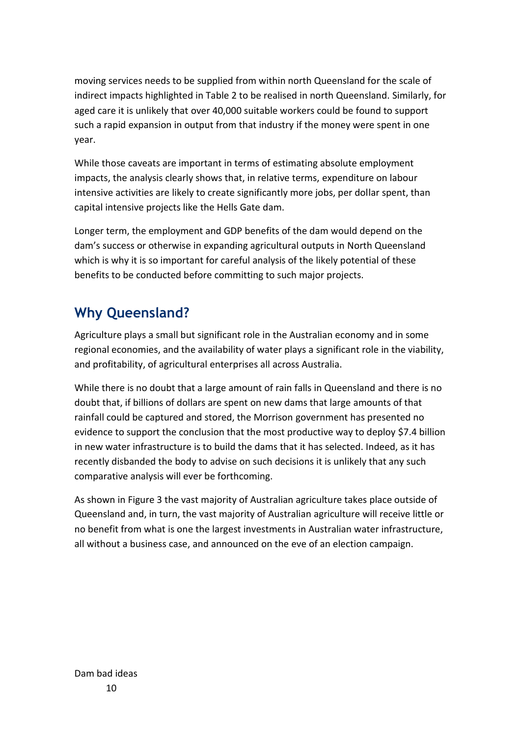moving services needs to be supplied from within north Queensland for the scale of indirect impacts highlighted in Table 2 to be realised in north Queensland. Similarly, for aged care it is unlikely that over 40,000 suitable workers could be found to support such a rapid expansion in output from that industry if the money were spent in one year.

While those caveats are important in terms of estimating absolute employment impacts, the analysis clearly shows that, in relative terms, expenditure on labour intensive activities are likely to create significantly more jobs, per dollar spent, than capital intensive projects like the Hells Gate dam.

Longer term, the employment and GDP benefits of the dam would depend on the dam's success or otherwise in expanding agricultural outputs in North Queensland which is why it is so important for careful analysis of the likely potential of these benefits to be conducted before committing to such major projects.

## **Why Queensland?**

Agriculture plays a small but significant role in the Australian economy and in some regional economies, and the availability of water plays a significant role in the viability, and profitability, of agricultural enterprises all across Australia.

While there is no doubt that a large amount of rain falls in Queensland and there is no doubt that, if billions of dollars are spent on new dams that large amounts of that rainfall could be captured and stored, the Morrison government has presented no evidence to support the conclusion that the most productive way to deploy \$7.4 billion in new water infrastructure is to build the dams that it has selected. Indeed, as it has recently disbanded the body to advise on such decisions it is unlikely that any such comparative analysis will ever be forthcoming.

As shown in Figure 3 the vast majority of Australian agriculture takes place outside of Queensland and, in turn, the vast majority of Australian agriculture will receive little or no benefit from what is one the largest investments in Australian water infrastructure, all without a business case, and announced on the eve of an election campaign.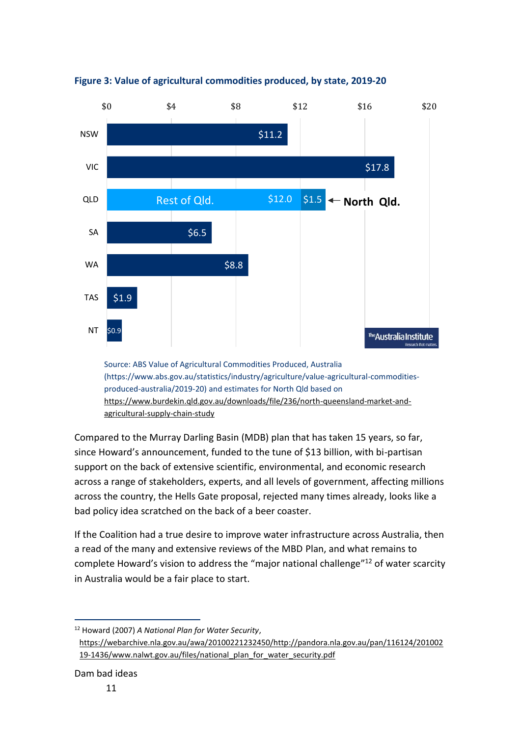

**Figure 3: Value of agricultural commodities produced, by state, 2019-20**

Source: ABS Value of Agricultural Commodities Produced, Australia (https://www.abs.gov.au/statistics/industry/agriculture/value-agricultural-commoditiesproduced-australia/2019-20) and estimates for North Qld based on [https://www.burdekin.qld.gov.au/downloads/file/236/north-queensland-market-and](https://www.burdekin.qld.gov.au/downloads/file/236/north-queensland-market-and-agricultural-supply-chain-study)[agricultural-supply-chain-study](https://www.burdekin.qld.gov.au/downloads/file/236/north-queensland-market-and-agricultural-supply-chain-study)

Compared to the Murray Darling Basin (MDB) plan that has taken 15 years, so far, since Howard's announcement, funded to the tune of \$13 billion, with bi-partisan support on the back of extensive scientific, environmental, and economic research across a range of stakeholders, experts, and all levels of government, affecting millions across the country, the Hells Gate proposal, rejected many times already, looks like a bad policy idea scratched on the back of a beer coaster.

If the Coalition had a true desire to improve water infrastructure across Australia, then a read of the many and extensive reviews of the MBD Plan, and what remains to complete Howard's vision to address the "major national challenge"<sup>12</sup> of water scarcity in Australia would be a fair place to start.

<sup>12</sup> Howard (2007) *A National Plan for Water Security*, [https://webarchive.nla.gov.au/awa/20100221232450/http://pandora.nla.gov.au/pan/116124/201002](https://webarchive.nla.gov.au/awa/20100221232450/http:/pandora.nla.gov.au/pan/116124/20100219-1436/www.nalwt.gov.au/files/national_plan_for_water_security.pdf) [19-1436/www.nalwt.gov.au/files/national\\_plan\\_for\\_water\\_security.pdf](https://webarchive.nla.gov.au/awa/20100221232450/http:/pandora.nla.gov.au/pan/116124/20100219-1436/www.nalwt.gov.au/files/national_plan_for_water_security.pdf)